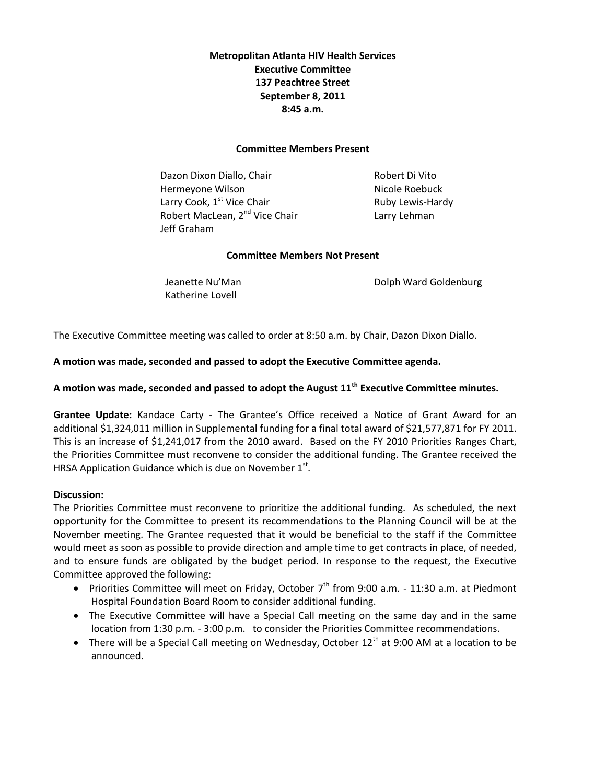## **Metropolitan Atlanta HIV Health Services Executive Committee 137 Peachtree Street September 8, 2011 8:45 a.m.**

### **Committee Members Present**

Dazon Dixon Diallo, Chair **Robert Di Vito** Hermeyone Wilson Nicole Roebuck Larry Cook,  $1^{st}$  Vice Chair Ruby Lewis-Hardy Robert MacLean, 2<sup>nd</sup> Vice Chair **Larry Lehman** Jeff Graham

## **Committee Members Not Present**

Katherine Lovell

Jeanette Nu'Man **Dolph Ward Goldenburg** 

The Executive Committee meeting was called to order at 8:50 a.m. by Chair, Dazon Dixon Diallo.

## **A motion was made, seconded and passed to adopt the Executive Committee agenda.**

# **A motion was made, seconded and passed to adopt the August 11th Executive Committee minutes.**

**Grantee Update:** Kandace Carty - The Grantee's Office received a Notice of Grant Award for an additional \$1,324,011 million in Supplemental funding for a final total award of \$21,577,871 for FY 2011. This is an increase of \$1,241,017 from the 2010 award. Based on the FY 2010 Priorities Ranges Chart, the Priorities Committee must reconvene to consider the additional funding. The Grantee received the HRSA Application Guidance which is due on November  $1<sup>st</sup>$ .

## **Discussion:**

The Priorities Committee must reconvene to prioritize the additional funding. As scheduled, the next opportunity for the Committee to present its recommendations to the Planning Council will be at the November meeting. The Grantee requested that it would be beneficial to the staff if the Committee would meet as soon as possible to provide direction and ample time to get contracts in place, of needed, and to ensure funds are obligated by the budget period. In response to the request, the Executive Committee approved the following:

- Priorities Committee will meet on Friday, October  $7<sup>th</sup>$  from 9:00 a.m. 11:30 a.m. at Piedmont Hospital Foundation Board Room to consider additional funding.
- The Executive Committee will have a Special Call meeting on the same day and in the same location from 1:30 p.m. - 3:00 p.m. to consider the Priorities Committee recommendations.
- There will be a Special Call meeting on Wednesday, October  $12<sup>th</sup>$  at 9:00 AM at a location to be announced.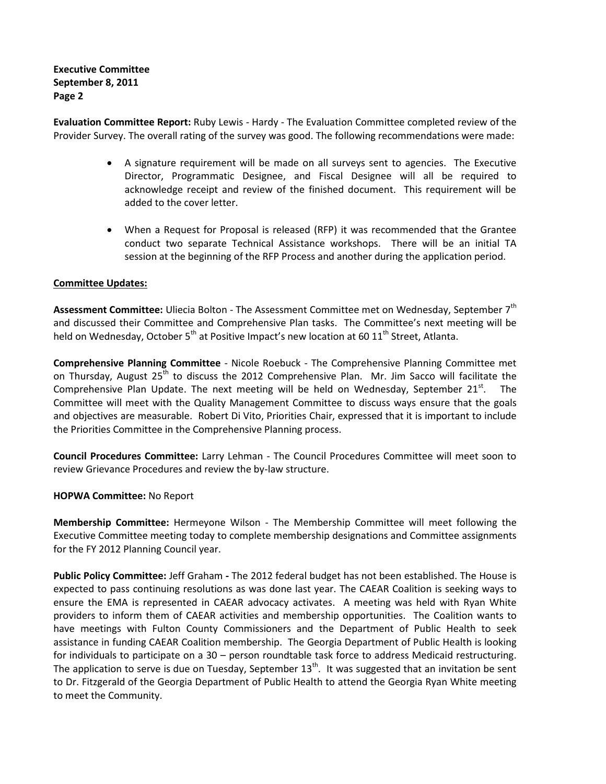**Executive Committee September 8, 2011 Page 2** 

**Evaluation Committee Report:** Ruby Lewis - Hardy - The Evaluation Committee completed review of the Provider Survey. The overall rating of the survey was good. The following recommendations were made:

- A signature requirement will be made on all surveys sent to agencies. The Executive Director, Programmatic Designee, and Fiscal Designee will all be required to acknowledge receipt and review of the finished document. This requirement will be added to the cover letter.
- When a Request for Proposal is released (RFP) it was recommended that the Grantee conduct two separate Technical Assistance workshops. There will be an initial TA session at the beginning of the RFP Process and another during the application period.

### **Committee Updates:**

**Assessment Committee:** Uliecia Bolton - The Assessment Committee met on Wednesday, September 7th and discussed their Committee and Comprehensive Plan tasks. The Committee's next meeting will be held on Wednesday, October  $5<sup>th</sup>$  at Positive Impact's new location at 60  $11<sup>th</sup>$  Street, Atlanta.

**Comprehensive Planning Committee** - Nicole Roebuck - The Comprehensive Planning Committee met on Thursday, August  $25<sup>th</sup>$  to discuss the 2012 Comprehensive Plan. Mr. Jim Sacco will facilitate the Comprehensive Plan Update. The next meeting will be held on Wednesday, September 21 $^{st}$ . The Committee will meet with the Quality Management Committee to discuss ways ensure that the goals and objectives are measurable. Robert Di Vito, Priorities Chair, expressed that it is important to include the Priorities Committee in the Comprehensive Planning process.

**Council Procedures Committee:** Larry Lehman - The Council Procedures Committee will meet soon to review Grievance Procedures and review the by-law structure.

#### **HOPWA Committee:** No Report

**Membership Committee:** Hermeyone Wilson - The Membership Committee will meet following the Executive Committee meeting today to complete membership designations and Committee assignments for the FY 2012 Planning Council year.

**Public Policy Committee:** Jeff Graham **-** The 2012 federal budget has not been established. The House is expected to pass continuing resolutions as was done last year. The CAEAR Coalition is seeking ways to ensure the EMA is represented in CAEAR advocacy activates. A meeting was held with Ryan White providers to inform them of CAEAR activities and membership opportunities. The Coalition wants to have meetings with Fulton County Commissioners and the Department of Public Health to seek assistance in funding CAEAR Coalition membership. The Georgia Department of Public Health is looking for individuals to participate on a 30 – person roundtable task force to address Medicaid restructuring. The application to serve is due on Tuesday, September  $13<sup>th</sup>$ . It was suggested that an invitation be sent to Dr. Fitzgerald of the Georgia Department of Public Health to attend the Georgia Ryan White meeting to meet the Community.